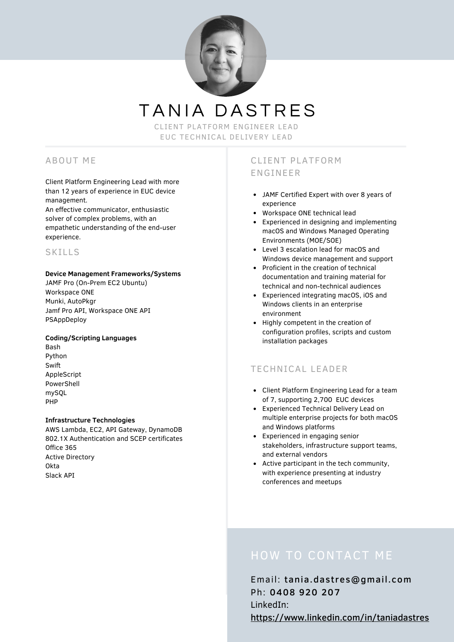

TANIA DASTRES

CLIENT PLATFORM ENGINEER LEAD EUC TECHNICAL DELIVERY LEAD

# ABOUT ME

Client Platform Engineering Lead with more than 12 years of experience in EUC device management.

An effective communicator, enthusiastic solver of complex problems, with an empathetic understanding of the end-user experience.

## SKILLS

### **Device Management Frameworks/Systems**

JAMF Pro (On-Prem EC2 Ubuntu) Workspace ONE Munki, AutoPkgr Jamf Pro API, Workspace ONE API PSAppDeploy

### **Coding/Scripting Languages**

Bash Python Swift AppleScript PowerShell mySQL PHP

### **Infrastructure Technologies**

AWS Lambda, EC2, API Gateway, DynamoDB 802.1X Authentication and SCEP certificates Office 365 Active Directory Okta Slack API

# CLIENT PLATFORM ENGINEER

- JAMF Certified Expert with over 8 years of experience
- Workspace ONE technical lead
- Experienced in designing and implementing macOS and Windows Managed Operating Environments (MOE/SOE)
- Level 3 escalation lead for macOS and Windows device management and support
- Proficient in the creation of technical documentation and training material for technical and non-technical audiences
- Experienced integrating macOS, iOS and Windows clients in an enterprise environment
- Highly competent in the creation of configuration profiles, scripts and custom installation packages

# TECHNICAL LEADER

- Client Platform Engineering Lead for a team of 7, supporting 2,700 EUC devices
- Experienced Technical Delivery Lead on multiple enterprise projects for both macOS and Windows platforms
- Experienced in engaging senior stakeholders, infrastructure support teams, and external vendors
- Active participant in the tech community, with experience presenting at industry conferences and meetups

# HOW TO CONTACT ME

Email: tania.dastres@gmail.com Ph: 0408 920 207 LinkedIn: <https://www.linkedin.com/in/taniadastres>